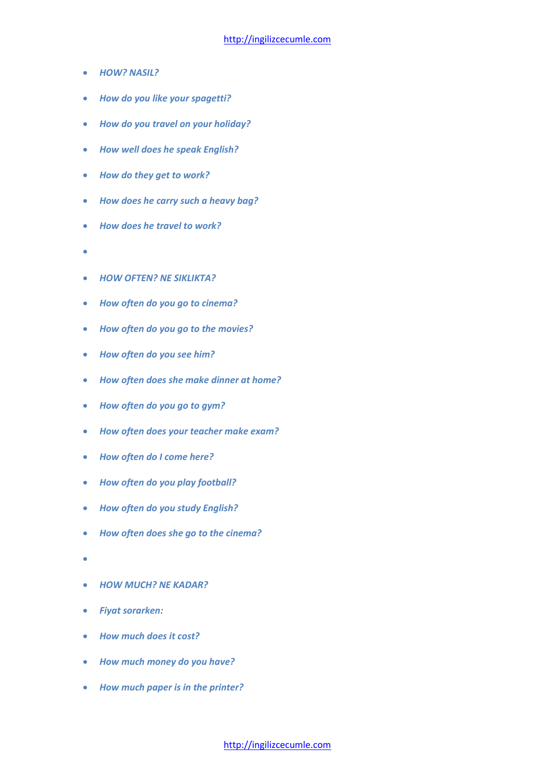- *HOW? NASIL?*
- *How do you like your spagetti?*
- *How do you travel on your holiday?*
- *How well does he speak English?*
- *How do they get to work?*
- *How does he carry such a heavy bag?*
- *How does he travel to work?*
- $\bullet$
- *HOW OFTEN? NE SIKLIKTA?*
- *How often do you go to cinema?*
- *How often do you go to the movies?*
- *How often do you see him?*
- *How often does she make dinner at home?*
- *How often do you go to gym?*
- *How often does your teacher make exam?*
- *How often do I come here?*
- *How often do you play football?*
- *How often do you study English?*
- *How often does she go to the cinema?*
- $\bullet$
- *HOW MUCH? NE KADAR?*
- *Fiyat sorarken:*
- *How much does it cost?*
- *How much money do you have?*
- *How much paper is in the printer?*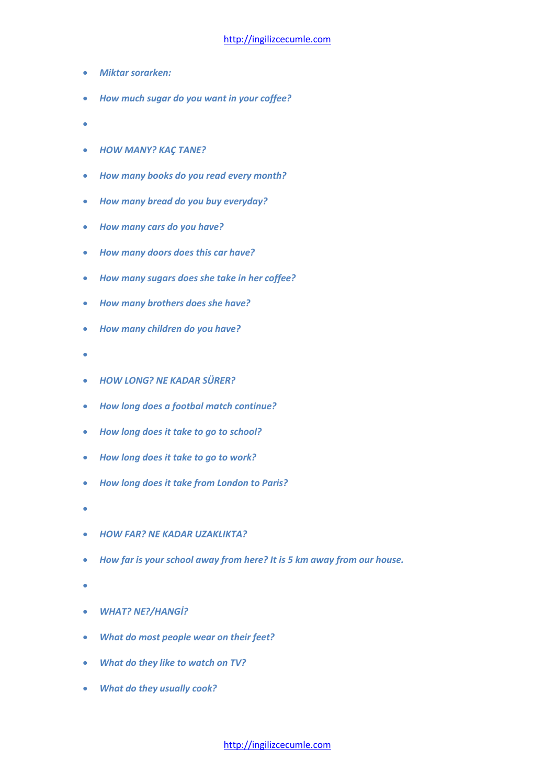- *Miktar sorarken:*
- *How much sugar do you want in your coffee?*
- $\sim$
- *HOW MANY? KAÇ TANE?*
- *How many books do you read every month?*
- *How many bread do you buy everyday?*
- *How many cars do you have?*
- *How many doors does this car have?*
- *How many sugars does she take in her coffee?*
- *How many brothers does she have?*
- *How many children do you have?*
- ċ
- *HOW LONG? NE KADAR SÜRER?*
- *How long does a footbal match continue?*
- *How long does it take to go to school?*
- *How long does it take to go to work?*
- *How long does it take from London to Paris?*
- $\bullet$
- *HOW FAR? NE KADAR UZAKLIKTA?*
- *How far is your school away from here? It is 5 km away from our house.*
- $\bullet$
- *WHAT? NE?/HANGİ?*
- *What do most people wear on their feet?*
- *What do they like to watch on TV?*
- *What do they usually cook?*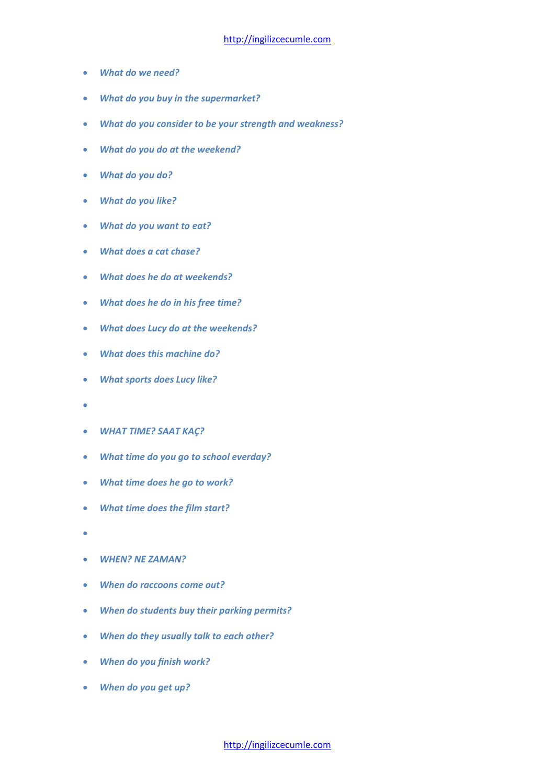- *What do we need?*
- *What do you buy in the supermarket?*
- *What do you consider to be your strength and weakness?*
- *What do you do at the weekend?*
- *What do you do?*
- *What do you like?*
- *What do you want to eat?*
- *What does a cat chase?*
- *What does he do at weekends?*
- *What does he do in his free time?*
- *What does Lucy do at the weekends?*
- *What does this machine do?*
- *What sports does Lucy like?*
- $\bullet$
- *WHAT TIME? SAAT KAÇ?*
- *What time do you go to school everday?*
- *What time does he go to work?*
- *What time does the film start?*
- $\bullet$
- *WHEN? NE ZAMAN?*
- *When do raccoons come out?*
- *When do students buy their parking permits?*
- *When do they usually talk to each other?*
- *When do you finish work?*
- *When do you get up?*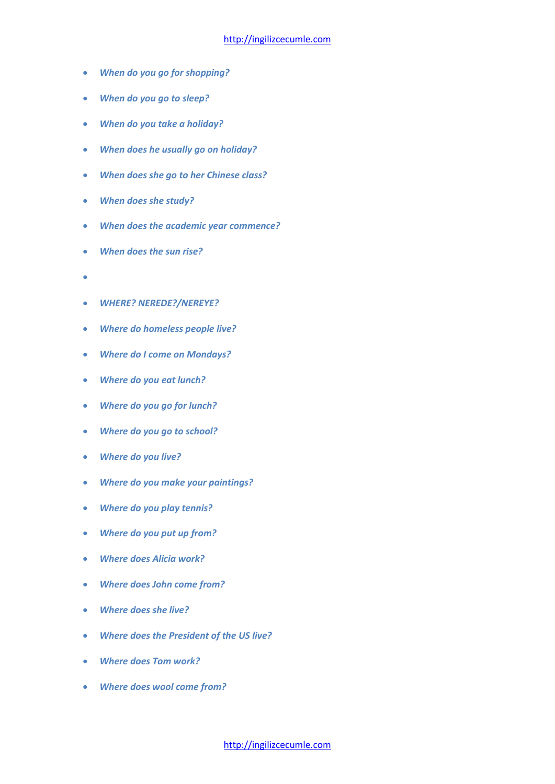- *When do you go for shopping?*
- *When do you go to sleep?*
- *When do you take a holiday?*
- *When does he usually go on holiday?*
- *When does she go to her Chinese class?*
- *When does she study?*
- *When does the academic year commence?*
- *When does the sun rise?*
- $\bullet$
- *WHERE? NEREDE?/NEREYE?*
- *Where do homeless people live?*
- *Where do I come on Mondays?*
- *Where do you eat lunch?*
- *Where do you go for lunch?*
- *Where do you go to school?*
- *Where do you live?*
- *Where do you make your paintings?*
- *Where do you play tennis?*
- *Where do you put up from?*
- *Where does Alicia work?*
- *Where does John come from?*
- *Where does she live?*
- *Where does the President of the US live?*
- *Where does Tom work?*
- *Where does wool come from?*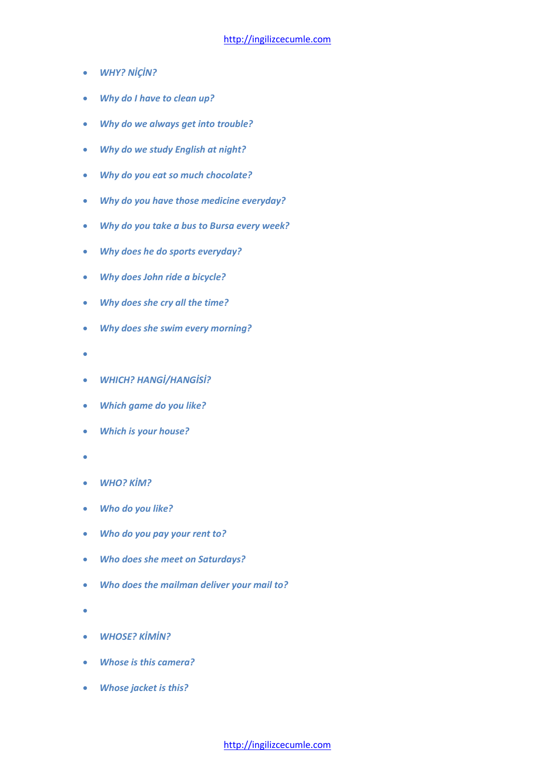- *WHY? NİÇİN?*
- *Why do I have to clean up?*
- *Why do we always get into trouble?*
- *Why do we study English at night?*
- *Why do you eat so much chocolate?*
- *Why do you have those medicine everyday?*
- *Why do you take a bus to Bursa every week?*
- *Why does he do sports everyday?*
- *Why does John ride a bicycle?*
- *Why does she cry all the time?*
- *Why does she swim every morning?*
- $\bullet$
- *WHICH? HANGİ/HANGİSİ?*
- *Which game do you like?*
- *Which is your house?*
- ٠
- *WHO? KİM?*
- *Who do you like?*
- *Who do you pay your rent to?*
- *Who does she meet on Saturdays?*
- *Who does the mailman deliver your mail to?*
- $\overline{\phantom{a}}$
- *WHOSE? KİMİN?*
- *Whose is this camera?*
- *Whose jacket is this?*